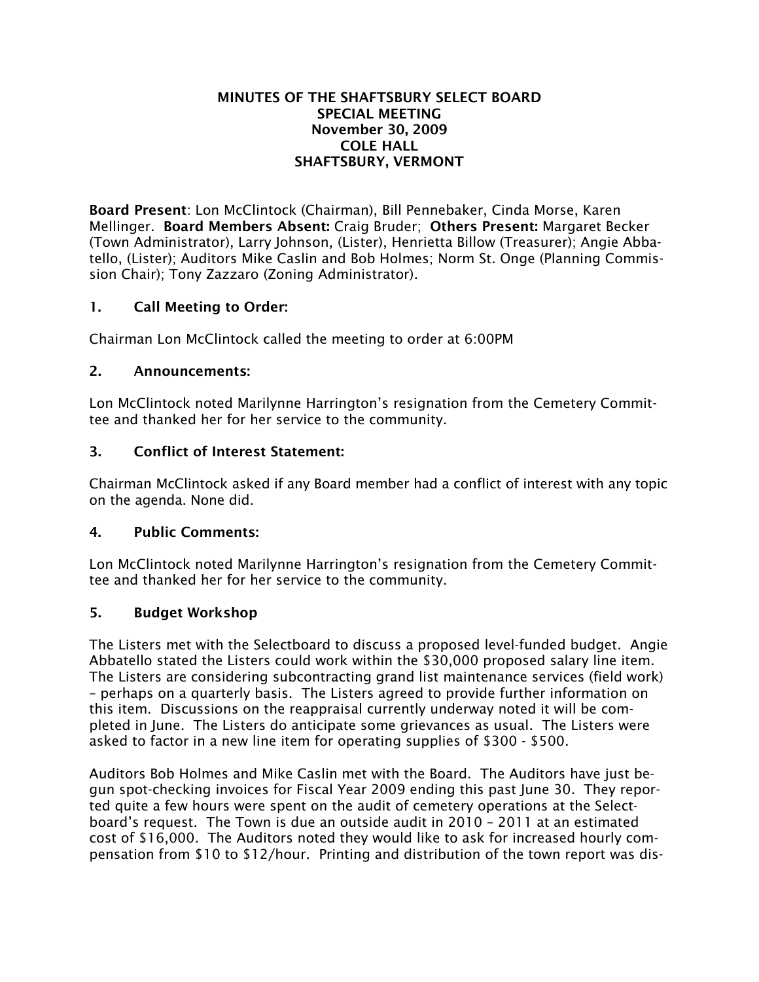### MINUTES OF THE SHAFTSBURY SELECT BOARD SPECIAL MEETING November 30, 2009 COLE HALL SHAFTSBURY, VERMONT

Board Present: Lon McClintock (Chairman), Bill Pennebaker, Cinda Morse, Karen Mellinger. Board Members Absent: Craig Bruder; Others Present: Margaret Becker (Town Administrator), Larry Johnson, (Lister), Henrietta Billow (Treasurer); Angie Abbatello, (Lister); Auditors Mike Caslin and Bob Holmes; Norm St. Onge (Planning Commission Chair); Tony Zazzaro (Zoning Administrator).

# 1. Call Meeting to Order:

Chairman Lon McClintock called the meeting to order at 6:00PM

## 2. Announcements:

Lon McClintock noted Marilynne Harrington's resignation from the Cemetery Committee and thanked her for her service to the community.

## 3. Conflict of Interest Statement:

Chairman McClintock asked if any Board member had a conflict of interest with any topic on the agenda. None did.

### 4. Public Comments:

Lon McClintock noted Marilynne Harrington's resignation from the Cemetery Committee and thanked her for her service to the community.

### 5. Budget Workshop

The Listers met with the Selectboard to discuss a proposed level-funded budget. Angie Abbatello stated the Listers could work within the \$30,000 proposed salary line item. The Listers are considering subcontracting grand list maintenance services (field work) – perhaps on a quarterly basis. The Listers agreed to provide further information on this item. Discussions on the reappraisal currently underway noted it will be completed in June. The Listers do anticipate some grievances as usual. The Listers were asked to factor in a new line item for operating supplies of \$300 - \$500.

Auditors Bob Holmes and Mike Caslin met with the Board. The Auditors have just begun spot-checking invoices for Fiscal Year 2009 ending this past June 30. They reported quite a few hours were spent on the audit of cemetery operations at the Selectboard's request. The Town is due an outside audit in 2010 – 2011 at an estimated cost of \$16,000. The Auditors noted they would like to ask for increased hourly compensation from \$10 to \$12/hour. Printing and distribution of the town report was dis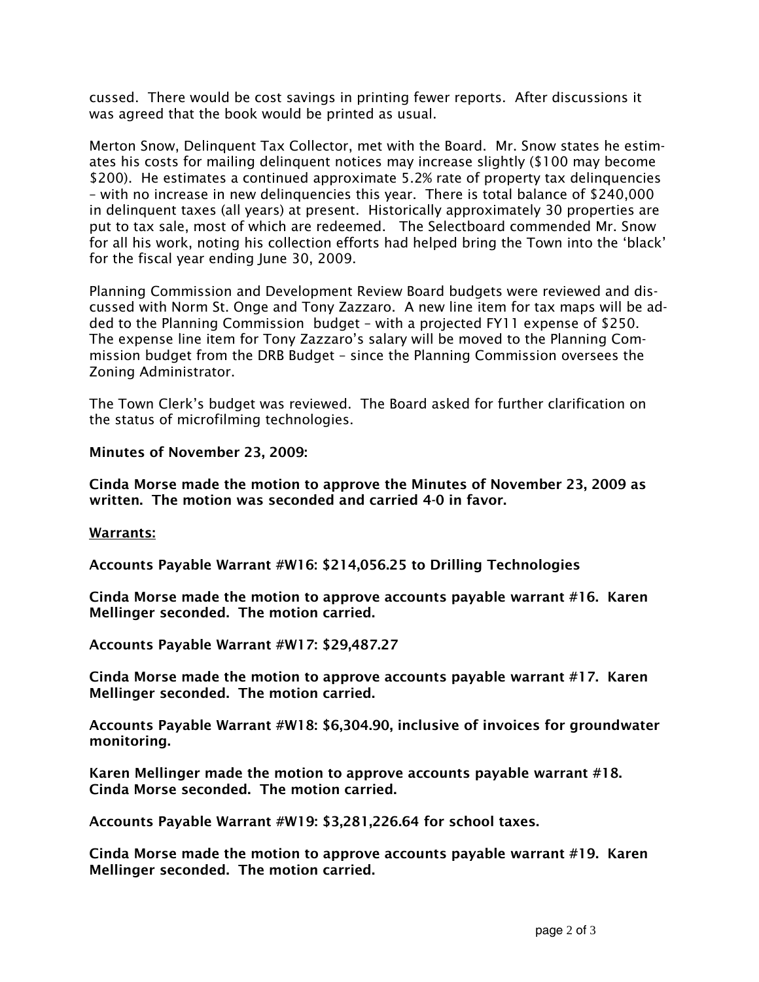cussed. There would be cost savings in printing fewer reports. After discussions it was agreed that the book would be printed as usual.

Merton Snow, Delinquent Tax Collector, met with the Board. Mr. Snow states he estimates his costs for mailing delinquent notices may increase slightly (\$100 may become \$200). He estimates a continued approximate 5.2% rate of property tax delinquencies – with no increase in new delinquencies this year. There is total balance of \$240,000 in delinquent taxes (all years) at present. Historically approximately 30 properties are put to tax sale, most of which are redeemed. The Selectboard commended Mr. Snow for all his work, noting his collection efforts had helped bring the Town into the 'black' for the fiscal year ending June 30, 2009.

Planning Commission and Development Review Board budgets were reviewed and discussed with Norm St. Onge and Tony Zazzaro. A new line item for tax maps will be added to the Planning Commission budget – with a projected FY11 expense of \$250. The expense line item for Tony Zazzaro's salary will be moved to the Planning Commission budget from the DRB Budget – since the Planning Commission oversees the Zoning Administrator.

The Town Clerk's budget was reviewed. The Board asked for further clarification on the status of microfilming technologies.

Minutes of November 23, 2009:

Cinda Morse made the motion to approve the Minutes of November 23, 2009 as written. The motion was seconded and carried 4-0 in favor.

### Warrants:

Accounts Payable Warrant #W16: \$214,056.25 to Drilling Technologies

Cinda Morse made the motion to approve accounts payable warrant #16. Karen Mellinger seconded. The motion carried.

Accounts Payable Warrant #W17: \$29,487.27

Cinda Morse made the motion to approve accounts payable warrant #17. Karen Mellinger seconded. The motion carried.

Accounts Payable Warrant #W18: \$6,304.90, inclusive of invoices for groundwater monitoring.

Karen Mellinger made the motion to approve accounts payable warrant #18. Cinda Morse seconded. The motion carried.

Accounts Payable Warrant #W19: \$3,281,226.64 for school taxes.

Cinda Morse made the motion to approve accounts payable warrant #19. Karen Mellinger seconded. The motion carried.